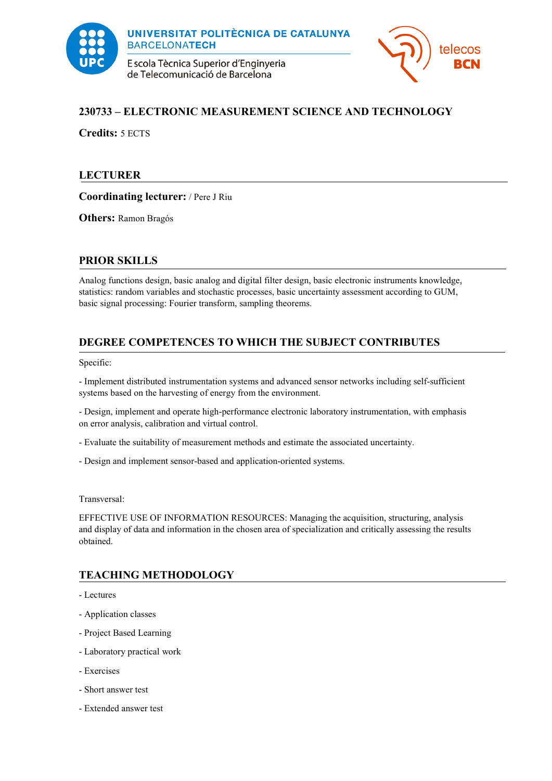

E scola Tècnica Superior d'Enginyeria de Telecomunicació de Barcelona



## **230733 – ELECTRONIC MEASUREMENT SCIENCE AND TECHNOLOGY**

**Credits:** 5 ECTS

## **LECTURER**

**Coordinating lecturer:** / Pere J Riu

**Others:** Ramon Bragós

### **PRIOR SKILLS**

Analog functions design, basic analog and digital filter design, basic electronic instruments knowledge, statistics: random variables and stochastic processes, basic uncertainty assessment according to GUM, basic signal processing: Fourier transform, sampling theorems.

# **DEGREE COMPETENCES TO WHICH THE SUBJECT CONTRIBUTES**

Specific:

- Implement distributed instrumentation systems and advanced sensor networks including self-sufficient systems based on the harvesting of energy from the environment.

- Design, implement and operate high-performance electronic laboratory instrumentation, with emphasis on error analysis, calibration and virtual control.

- Evaluate the suitability of measurement methods and estimate the associated uncertainty.
- Design and implement sensor-based and application-oriented systems.

Transversal:

EFFECTIVE USE OF INFORMATION RESOURCES: Managing the acquisition, structuring, analysis and display of data and information in the chosen area of specialization and critically assessing the results obtained.

# **TEACHING METHODOLOGY**

- Lectures
- Application classes
- Project Based Learning
- Laboratory practical work
- Exercises
- Short answer test
- Extended answer test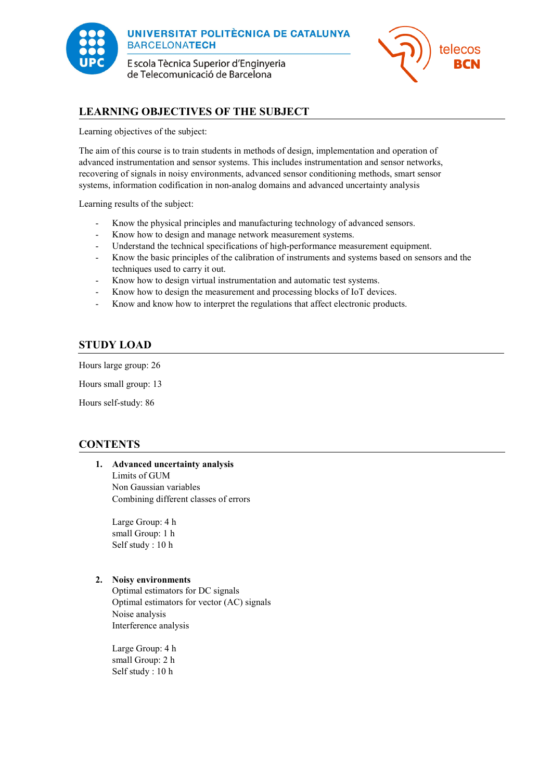

E scola Tècnica Superior d'Enginyeria de Telecomunicació de Barcelona



## **LEARNING OBJECTIVES OF THE SUBJECT**

Learning objectives of the subject:

The aim of this course is to train students in methods of design, implementation and operation of advanced instrumentation and sensor systems. This includes instrumentation and sensor networks, recovering of signals in noisy environments, advanced sensor conditioning methods, smart sensor systems, information codification in non-analog domains and advanced uncertainty analysis

Learning results of the subject:

- Know the physical principles and manufacturing technology of advanced sensors.
- Know how to design and manage network measurement systems.
- Understand the technical specifications of high-performance measurement equipment.
- Know the basic principles of the calibration of instruments and systems based on sensors and the techniques used to carry it out.
- Know how to design virtual instrumentation and automatic test systems.
- Know how to design the measurement and processing blocks of IoT devices.
- Know and know how to interpret the regulations that affect electronic products.

## **STUDY LOAD**

Hours large group: 26

Hours small group: 13

Hours self-study: 86

### **CONTENTS**

## **1. Advanced uncertainty analysis**

Limits of GUM Non Gaussian variables Combining different classes of errors

Large Group: 4 h small Group: 1 h Self study : 10 h

### **2. Noisy environments**

Optimal estimators for DC signals Optimal estimators for vector (AC) signals Noise analysis Interference analysis

Large Group: 4 h small Group: 2 h Self study : 10 h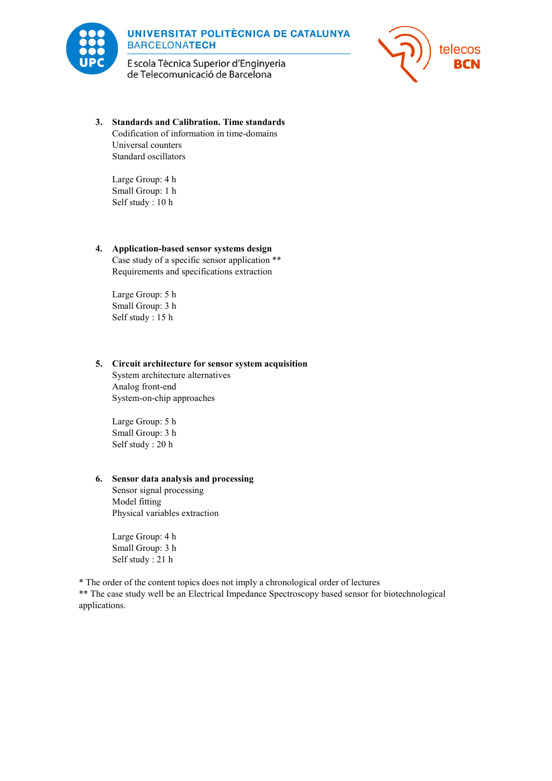

E scola Tècnica Superior d'Enginyeria de Telecomunicació de Barcelona



**3. Standards and Calibration. Time standards** Codification of information in time-domains Universal counters Standard oscillators

Large Group: 4 h Small Group: 1 h Self study : 10 h

### **4. Application-based sensor systems design**

Case study of a specific sensor application \*\* Requirements and specifications extraction

Large Group: 5 h Small Group: 3 h Self study : 15 h

### **5. Circuit architecture for sensor system acquisition**

System architecture alternatives Analog front-end System-on-chip approaches

Large Group: 5 h Small Group: 3 h Self study : 20 h

### **6. Sensor data analysis and processing**

Sensor signal processing Model fitting Physical variables extraction

Large Group: 4 h Small Group: 3 h Self study : 21 h

\* The order of the content topics does not imply a chronological order of lectures

\*\* The case study well be an Electrical Impedance Spectroscopy based sensor for biotechnological applications.